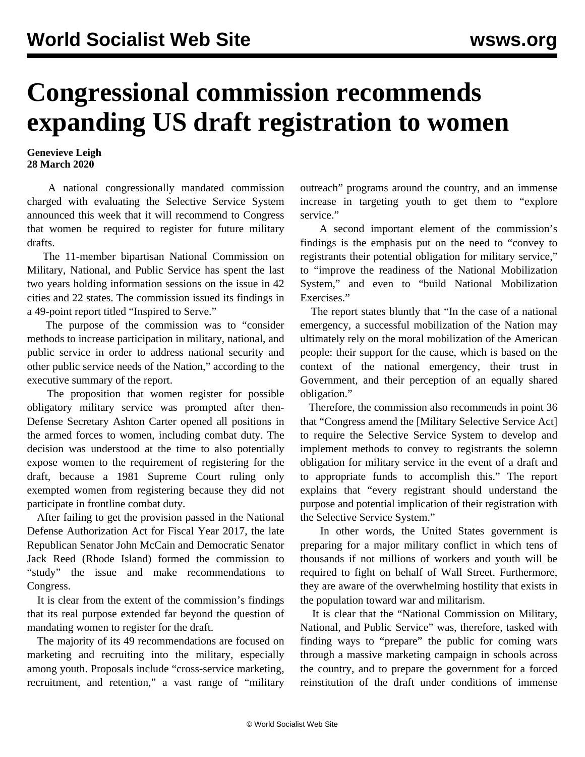## **Congressional commission recommends expanding US draft registration to women**

## **Genevieve Leigh 28 March 2020**

 A national congressionally mandated commission charged with evaluating the Selective Service System announced this week that it will recommend to Congress that women be required to register for future military drafts.

 The 11-member bipartisan National Commission on Military, National, and Public Service has spent the last two years holding information sessions on the issue in 42 cities and 22 states. The commission issued its findings in a 49-point report titled ["Inspired to Serve.](https://inspire2serve.gov/reports/final-report#ref334)"

 The purpose of the commission was to "consider methods to increase participation in military, national, and public service in order to address national security and other public service needs of the Nation," according to the executive summary of the report.

 The proposition that women register for possible obligatory military service was prompted after then-Defense Secretary Ashton Carter opened all positions in the armed forces to women, including combat duty. The decision was understood at the time to also potentially expose women to the requirement of registering for the draft, because a 1981 Supreme Court ruling only exempted women from registering because they did not participate in frontline combat duty.

 After failing to get the provision passed in the National Defense Authorization Act for Fiscal Year 2017, the late Republican Senator John McCain and Democratic Senator Jack Reed (Rhode Island) formed the commission to "study" the issue and make recommendations to Congress.

 It is clear from the extent of the commission's findings that its real purpose extended far beyond the question of mandating women to register for the draft.

 The majority of its 49 recommendations are focused on marketing and recruiting into the military, especially among youth. Proposals include "cross-service marketing, recruitment, and retention," a vast range of "military

outreach" programs around the country, and an immense increase in targeting youth to get them to "explore service"

 A second important element of the commission's findings is the emphasis put on the need to "convey to registrants their potential obligation for military service," to "improve the readiness of the National Mobilization System," and even to "build National Mobilization Exercises."

 The report states bluntly that "In the case of a national emergency, a successful mobilization of the Nation may ultimately rely on the moral mobilization of the American people: their support for the cause, which is based on the context of the national emergency, their trust in Government, and their perception of an equally shared obligation."

 Therefore, the commission also recommends in point 36 that "Congress amend the [Military Selective Service Act] to require the Selective Service System to develop and implement methods to convey to registrants the solemn obligation for military service in the event of a draft and to appropriate funds to accomplish this." The report explains that "every registrant should understand the purpose and potential implication of their registration with the Selective Service System."

 In other words, the United States government is preparing for a major military conflict in which tens of thousands if not millions of workers and youth will be required to fight on behalf of Wall Street. Furthermore, they are aware of the overwhelming hostility that exists in the population toward war and militarism.

 It is clear that the "National Commission on Military, National, and Public Service" was, therefore, tasked with finding ways to "prepare" the public for coming wars through a massive marketing campaign in schools across the country, and to prepare the government for a forced reinstitution of the draft under conditions of immense